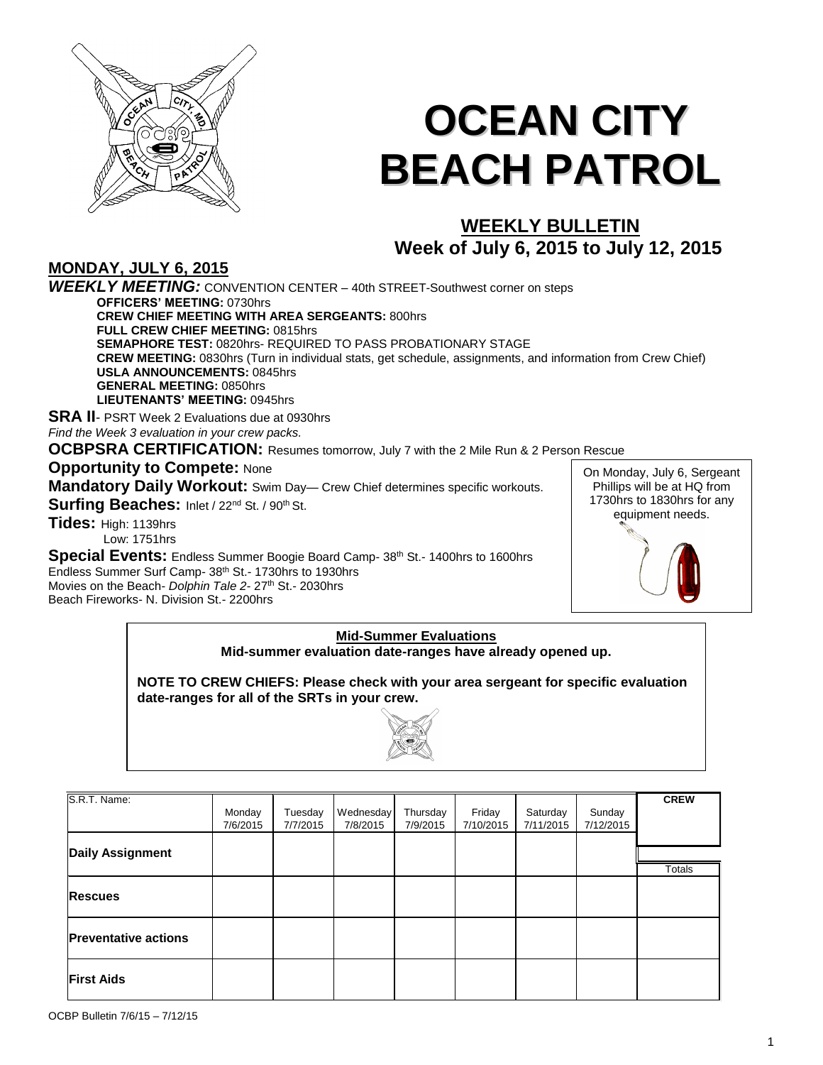

# **OCEAN CITY BEACH PATROL**

# **WEEKLY BULLETIN Week of July 6, 2015 to July 12, 2015**

**MONDAY, JULY 6, 2015** *WEEKLY MEETING:* CONVENTION CENTER – 40th STREET-Southwest corner on steps **OFFICERS' MEETING:** 0730hrs **CREW CHIEF MEETING WITH AREA SERGEANTS:** 800hrs **FULL CREW CHIEF MEETING:** 0815hrs **SEMAPHORE TEST:** 0820hrs- REQUIRED TO PASS PROBATIONARY STAGE **CREW MEETING:** 0830hrs (Turn in individual stats, get schedule, assignments, and information from Crew Chief) **USLA ANNOUNCEMENTS:** 0845hrs **GENERAL MEETING:** 0850hrs **LIEUTENANTS' MEETING:** 0945hrs **SRA II**- PSRT Week 2 Evaluations due at 0930hrs

*Find the Week 3 evaluation in your crew packs.*

**OCBPSRA CERTIFICATION:** Resumes tomorrow, July 7 with the 2 Mile Run & 2 Person Rescue

**Opportunity to Compete: None** 

**Mandatory Daily Workout:** Swim Day— Crew Chief determines specific workouts.

Surfing Beaches: Inlet / 22<sup>nd</sup> St. / 90<sup>th</sup> St.

**Tides:** High: 1139hrs Low: 1751hrs

**Special Events:** Endless Summer Boogie Board Camp- 38<sup>th</sup> St.- 1400hrs to 1600hrs Endless Summer Surf Camp- 38<sup>th</sup> St.- 1730hrs to 1930hrs Movies on the Beach- *Dolphin Tale 2- 27<sup>th</sup> St.- 2030hrs* Beach Fireworks- N. Division St.- 2200hrs

On Monday, July 6, Sergeant Phillips will be at HQ from 1730hrs to 1830hrs for any equipment needs.

#### **Mid-Summer Evaluations Mid-summer evaluation date-ranges have already opened up.**

**NOTE TO CREW CHIEFS: Please check with your area sergeant for specific evaluation date-ranges for all of the SRTs in your crew.**



| S.R.T. Name:                |          |          |           |          |           |           |           | <b>CREW</b> |
|-----------------------------|----------|----------|-----------|----------|-----------|-----------|-----------|-------------|
|                             | Monday   | Tuesday  | Wednesday | Thursday | Friday    | Saturday  | Sunday    |             |
|                             | 7/6/2015 | 7/7/2015 | 7/8/2015  | 7/9/2015 | 7/10/2015 | 7/11/2015 | 7/12/2015 |             |
|                             |          |          |           |          |           |           |           |             |
| <b>Daily Assignment</b>     |          |          |           |          |           |           |           |             |
|                             |          |          |           |          |           |           |           | Totals      |
|                             |          |          |           |          |           |           |           |             |
| <b>Rescues</b>              |          |          |           |          |           |           |           |             |
|                             |          |          |           |          |           |           |           |             |
| <b>Preventative actions</b> |          |          |           |          |           |           |           |             |
|                             |          |          |           |          |           |           |           |             |
|                             |          |          |           |          |           |           |           |             |
| <b>First Aids</b>           |          |          |           |          |           |           |           |             |
|                             |          |          |           |          |           |           |           |             |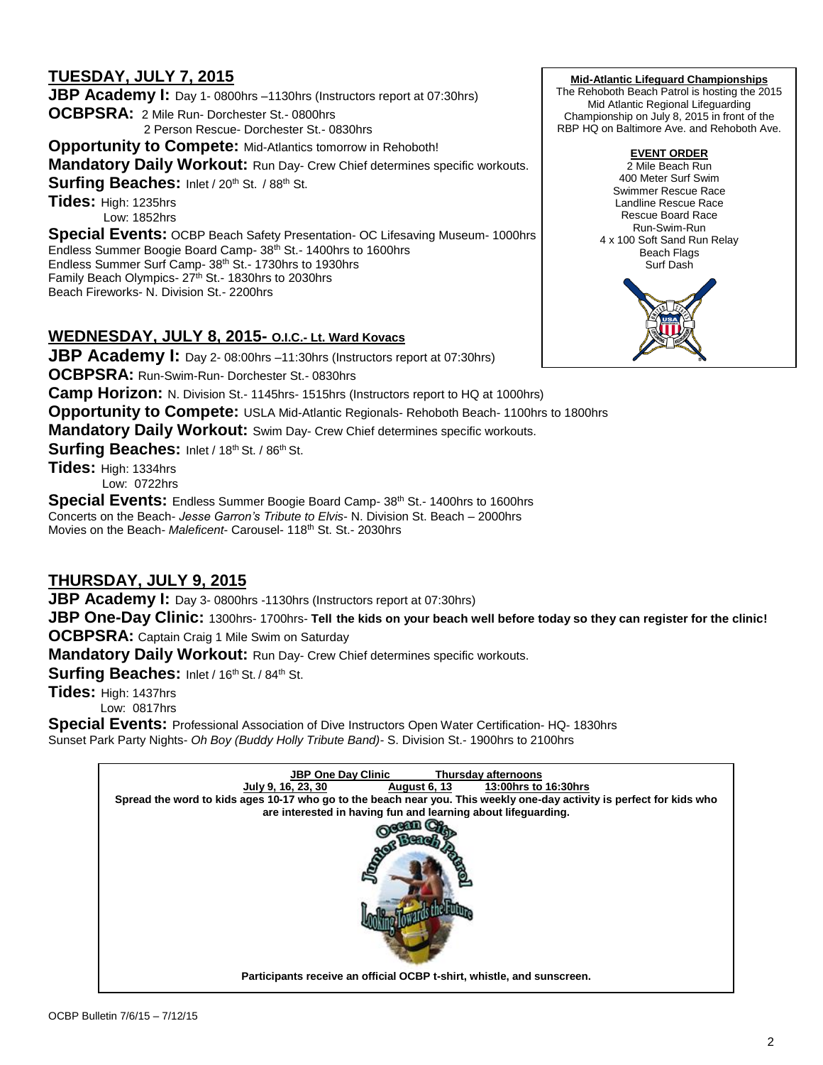# **TUESDAY, JULY 7, 2015**

**JBP Academy I:** Day 1-0800hrs –1130hrs (Instructors report at 07:30hrs) **OCBPSRA:** 2 Mile Run- Dorchester St.- 0800hrs 2 Person Rescue- Dorchester St.- 0830hrs **Opportunity to Compete:** Mid-Atlantics tomorrow in Rehoboth! **Mandatory Daily Workout: Run Day- Crew Chief determines specific workouts. Surfing Beaches: Inlet / 20th St. / 88th St. Tides:** High: 1235hrs Low: 1852hrs **Special Events:** OCBP Beach Safety Presentation- OC Lifesaving Museum- 1000hrs Endless Summer Boogie Board Camp- 38<sup>th</sup> St.- 1400hrs to 1600hrs Endless Summer Surf Camp- 38th St.- 1730hrs to 1930hrs Family Beach Olympics- 27<sup>th</sup> St.- 1830hrs to 2030hrs

Beach Fireworks- N. Division St.- 2200hrs

## **WEDNESDAY, JULY 8, 2015- O.I.C.- Lt. Ward Kovacs**

**JBP Academy I:** Day 2-08:00hrs –11:30hrs (Instructors report at 07:30hrs)

**OCBPSRA:** Run-Swim-Run- Dorchester St.- 0830hrs

**Camp Horizon:** N. Division St.- 1145hrs- 1515hrs (Instructors report to HQ at 1000hrs)

**Opportunity to Compete:** USLA Mid-Atlantic Regionals- Rehoboth Beach- 1100hrs to 1800hrs

**Mandatory Daily Workout:** Swim Day- Crew Chief determines specific workouts.

**Surfing Beaches:** Inlet / 18th St. / 86th St.

**Tides:** High: 1334hrs Low: 0722hrs

**Special Events:** Endless Summer Boogie Board Camp- 38<sup>th</sup> St.- 1400hrs to 1600hrs Concerts on the Beach- *Jesse Garron's Tribute to Elvis*- N. Division St. Beach *–* 2000hrs Movies on the Beach- Maleficent- Carousel- 118<sup>th</sup> St. St.- 2030hrs

## **THURSDAY, JULY 9, 2015**

**JBP Academy I:** Day 3-0800hrs -1130hrs (Instructors report at 07:30hrs)

**JBP One-Day Clinic:** 1300hrs- 1700hrs- **Tell the kids on your beach well before today so they can register for the clinic! OCBPSRA:** Captain Craig 1 Mile Swim on Saturday

**Mandatory Daily Workout:** Run Day- Crew Chief determines specific workouts.

Surfing Beaches: Inlet / 16th St. / 84th St.

**Tides:** High: 1437hrs Low: 0817hrs

**Special Events:** Professional Association of Dive Instructors Open Water Certification- HQ- 1830hrs Sunset Park Party Nights- *Oh Boy (Buddy Holly Tribute Band)-* S. Division St.- 1900hrs to 2100hrs



**Mid-Atlantic Lifeguard Championships**

The Rehoboth Beach Patrol is hosting the 2015 Mid Atlantic Regional Lifeguarding Championship on July 8, 2015 in front of the RBP HQ on Baltimore Ave. and Rehoboth Ave.

## **EVENT ORDER**

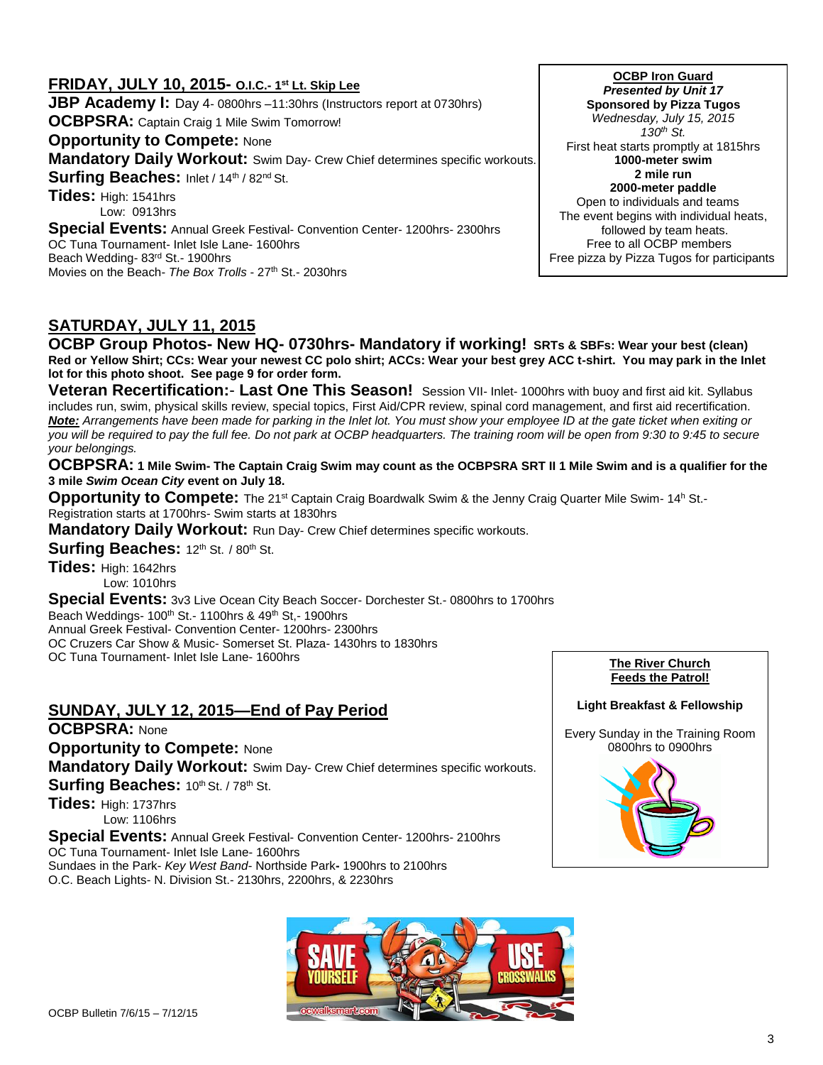## **FRIDAY, JULY 10, 2015- O.I.C.- 1 st Lt. Skip Lee JBP Academy I:** Day 4-0800hrs –11:30hrs (Instructors report at 0730hrs) **OCBPSRA:** Captain Craig 1 Mile Swim Tomorrow! **Opportunity to Compete: None Mandatory Daily Workout:** Swim Day- Crew Chief determines specific workouts. Surfing Beaches: Inlet / 14th / 82<sup>nd</sup> St. **Tides:** High: 1541hrs Low: 0913hrs **Special Events:** Annual Greek Festival- Convention Center- 1200hrs- 2300hrs OC Tuna Tournament- Inlet Isle Lane- 1600hrs Beach Wedding- 83rd St.- 1900hrs

Movies on the Beach- The Box Trolls - 27<sup>th</sup> St.- 2030hrs

**OCBP Iron Guard**  *Presented by Unit 17* **Sponsored by Pizza Tugos** *Wednesday, July 15, 2015 130th St.*  First heat starts promptly at 1815hrs **1000-meter swim 2 mile run 2000-meter paddle** Open to individuals and teams The event begins with individual heats, followed by team heats.

 Free to all OCBP members Free pizza by Pizza Tugos for participants

# **SATURDAY, JULY 11, 2015**

**OCBP Group Photos- New HQ- 0730hrs- Mandatory if working! SRTs & SBFs: Wear your best (clean) Red or Yellow Shirt; CCs: Wear your newest CC polo shirt; ACCs: Wear your best grey ACC t-shirt. You may park in the Inlet lot for this photo shoot. See page 9 for order form.**

**Veteran Recertification:**- **Last One This Season!** Session VII- Inlet- 1000hrs with buoy and first aid kit. Syllabus includes run, swim, physical skills review, special topics, First Aid/CPR review, spinal cord management, and first aid recertification. *Note: Arrangements have been made for parking in the Inlet lot. You must show your employee ID at the gate ticket when exiting or you will be required to pay the full fee. Do not park at OCBP headquarters. The training room will be open from 9:30 to 9:45 to secure your belongings.*

**OCBPSRA: 1 Mile Swim- The Captain Craig Swim may count as the OCBPSRA SRT II 1 Mile Swim and is a qualifier for the 3 mile** *Swim Ocean City* **event on July 18.**

Opportunity to Compete: The 21<sup>st</sup> Captain Craig Boardwalk Swim & the Jenny Craig Quarter Mile Swim- 14<sup>h</sup> St.-Registration starts at 1700hrs- Swim starts at 1830hrs

**Mandatory Daily Workout:** Run Day- Crew Chief determines specific workouts.

**Surfing Beaches:** 12th St. / 80th St.

**Tides:** High: 1642hrs Low: 1010hrs

**Special Events:** 3v3 Live Ocean City Beach Soccer- Dorchester St.- 0800hrs to 1700hrs Beach Weddings- 100<sup>th</sup> St.- 1100hrs & 49<sup>th</sup> St.- 1900hrs Annual Greek Festival- Convention Center- 1200hrs- 2300hrs OC Cruzers Car Show & Music- Somerset St. Plaza- 1430hrs to 1830hrs OC Tuna Tournament- Inlet Isle Lane- 1600hrs

## **SUNDAY, JULY 12, 2015—End of Pay Period**

**OCBPSRA:** None **Opportunity to Compete: None Mandatory Daily Workout:** Swim Day- Crew Chief determines specific workouts. **Surfing Beaches: 10th St. / 78th St.** 

**Tides:** High: 1737hrs Low: 1106hrs

**Special Events:** Annual Greek Festival- Convention Center- 1200hrs- 2100hrs OC Tuna Tournament- Inlet Isle Lane- 1600hrs

Sundaes in the Park- *Key West Band*- Northside Park**-** 1900hrs to 2100hrs O.C. Beach Lights- N. Division St.- 2130hrs, 2200hrs, & 2230hrs

### **The River Church Feeds the Patrol!**

#### **Light Breakfast & Fellowship**

Every Sunday in the Training Room 0800hrs to 0900hrs



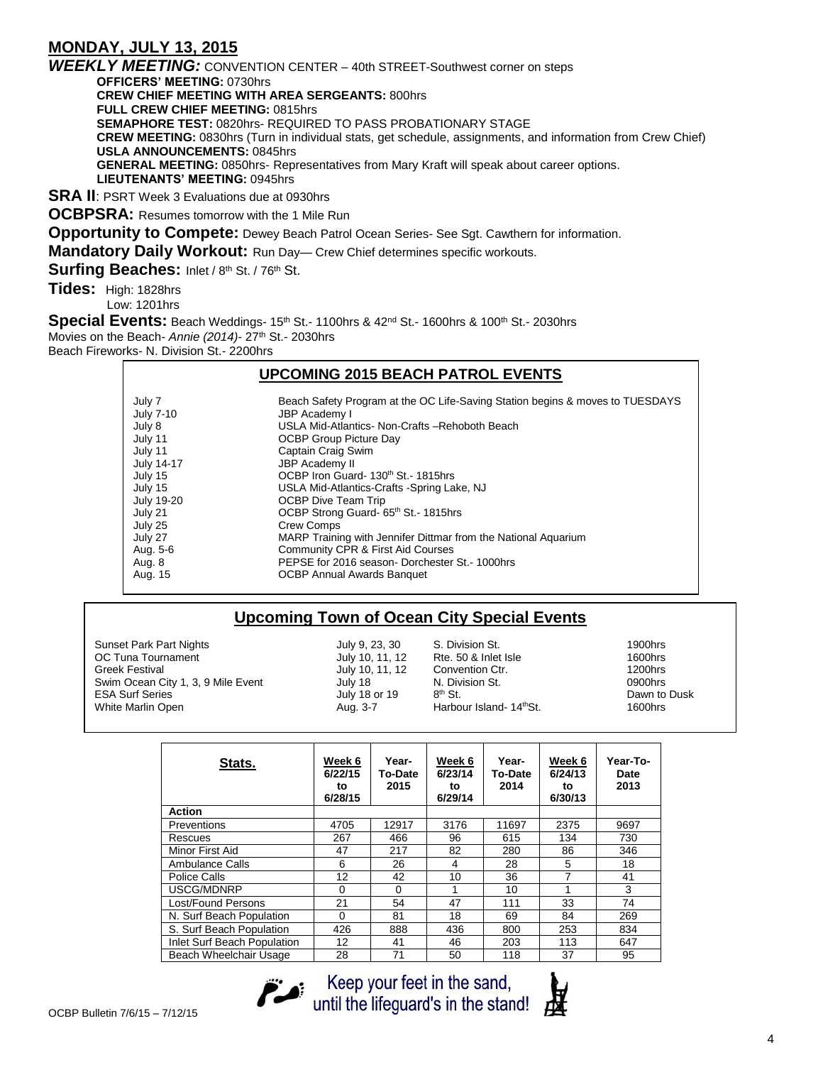# **MONDAY, JULY 13, 2015**

*WEEKLY MEETING:* CONVENTION CENTER – 40th STREET-Southwest corner on steps **OFFICERS' MEETING:** 0730hrs **CREW CHIEF MEETING WITH AREA SERGEANTS:** 800hrs **FULL CREW CHIEF MEETING:** 0815hrs **SEMAPHORE TEST:** 0820hrs- REQUIRED TO PASS PROBATIONARY STAGE **CREW MEETING:** 0830hrs (Turn in individual stats, get schedule, assignments, and information from Crew Chief) **USLA ANNOUNCEMENTS:** 0845hrs **GENERAL MEETING:** 0850hrs- Representatives from Mary Kraft will speak about career options. **LIEUTENANTS' MEETING:** 0945hrs

**SRA II**: PSRT Week 3 Evaluations due at 0930hrs

**OCBPSRA:** Resumes tomorrow with the 1 Mile Run

**Opportunity to Compete:** Dewey Beach Patrol Ocean Series- See Sgt. Cawthern for information.

**Mandatory Daily Workout: Run Day— Crew Chief determines specific workouts.** 

Surfing Beaches: Inlet / 8th St. / 76th St.

**Tides:** High: 1828hrs Low: 1201hrs

**Special Events:** Beach Weddings- 15<sup>th</sup> St.- 1100hrs & 42<sup>nd</sup> St.- 1600hrs & 100<sup>th</sup> St.- 2030hrs Movies on the Beach- *Annie (2014)*- 27th St.- 2030hrs Beach Fireworks- N. Division St.- 2200hrs

## **UPCOMING 2015 BEACH PATROL EVENTS**

| July 7<br><b>July 7-10</b><br>July 8 | Beach Safety Program at the OC Life-Saving Station begins & moves to TUESDAYS<br>JBP Academy I<br>USLA Mid-Atlantics- Non-Crafts -Rehoboth Beach |
|--------------------------------------|--------------------------------------------------------------------------------------------------------------------------------------------------|
| July 11                              | <b>OCBP Group Picture Day</b>                                                                                                                    |
| July 11                              | Captain Craig Swim                                                                                                                               |
| July 14-17                           | JBP Academy II                                                                                                                                   |
| July 15                              | OCBP Iron Guard- 130 <sup>th</sup> St.- 1815hrs                                                                                                  |
| July 15                              | USLA Mid-Atlantics-Crafts -Spring Lake, NJ                                                                                                       |
| <b>July 19-20</b>                    | <b>OCBP Dive Team Trip</b>                                                                                                                       |
| July 21                              | OCBP Strong Guard- 65th St.- 1815hrs                                                                                                             |
| July 25                              | <b>Crew Comps</b>                                                                                                                                |
| July 27                              | MARP Training with Jennifer Dittmar from the National Aquarium                                                                                   |
| Aug. 5-6                             | Community CPR & First Aid Courses                                                                                                                |
| Aug. 8                               | PEPSE for 2016 season-Dorchester St. - 1000hrs                                                                                                   |
| Aug. 15                              | <b>OCBP Annual Awards Banquet</b>                                                                                                                |

## **Upcoming Town of Ocean City Special Events**

Sunset Park Part Nights July 9, 23, 30 S. Division St. 1900hrs OC Tuna Tournament Greek Festival 1200hrs<br>
Swim Ocean City 1, 3, 9 Mile Event 10 July 18 12 100 N. Division St. 1200hrs Swim Ocean City 1, 3, 9 Mile Event **July 18** N. Division St. **1990** N. Division St. ESA Surf Series **In the Series** July 18 or 19 and 8th St. White Marlin Open **Aug. 3-7** Harbour Island- 14<sup>th</sup>St. 1600hrs

Dawn to Dusk

| Stats.                      | Week 6<br>6/22/15<br>to<br>6/28/15 | Year-<br>To-Date<br>2015 | Week 6<br>6/23/14<br>to<br>6/29/14 | Year-<br><b>To-Date</b><br>2014 | Week 6<br>6/24/13<br>to<br>6/30/13 | Year-To-<br>Date<br>2013 |
|-----------------------------|------------------------------------|--------------------------|------------------------------------|---------------------------------|------------------------------------|--------------------------|
| <b>Action</b>               |                                    |                          |                                    |                                 |                                    |                          |
| <b>Preventions</b>          | 4705                               | 12917                    | 3176                               | 11697                           | 2375                               | 9697                     |
| Rescues                     | 267                                | 466                      | 96                                 | 615                             | 134                                | 730                      |
| Minor First Aid             | 47                                 | 217                      | 82                                 | 280                             | 86                                 | 346                      |
| Ambulance Calls             | 6                                  | 26                       | 4                                  | 28                              | 5                                  | 18                       |
| Police Calls                | 12                                 | 42                       | 10                                 | 36                              | 7                                  | 41                       |
| USCG/MDNRP                  | $\Omega$                           | $\Omega$                 |                                    | 10                              | 1                                  | 3                        |
| Lost/Found Persons          | 21                                 | 54                       | 47                                 | 111                             | 33                                 | 74                       |
| N. Surf Beach Population    | $\Omega$                           | 81                       | 18                                 | 69                              | 84                                 | 269                      |
| S. Surf Beach Population    | 426                                | 888                      | 436                                | 800                             | 253                                | 834                      |
| Inlet Surf Beach Population | 12                                 | 41                       | 46                                 | 203                             | 113                                | 647                      |
| Beach Wheelchair Usage      | 28                                 | 71                       | 50                                 | 118                             | 37                                 | 95                       |



Keep your feet in the sand,<br>until the lifeguard's in the stand!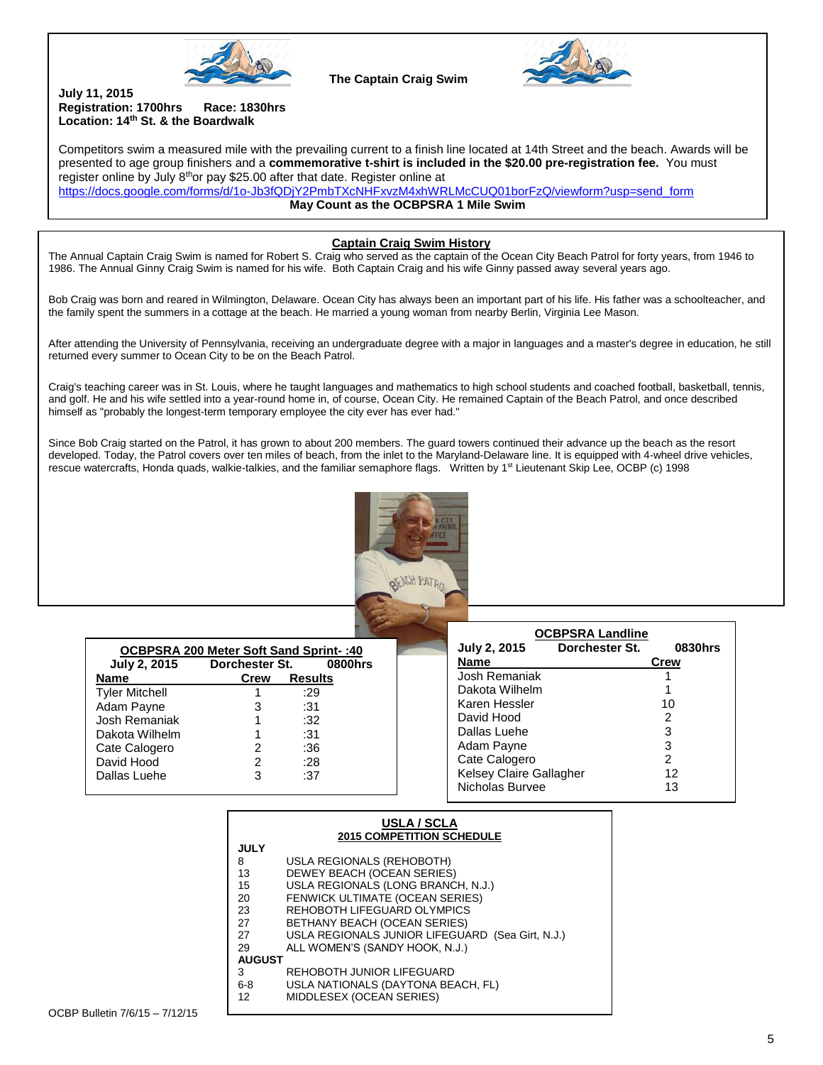

**The Captain Craig Swim**



#### **July 11, 2015 Registration: 1700hrs Race: 1830hrs Location: 14th St. & the Boardwalk**

 $\overline{a}$ 

Competitors swim a measured mile with the prevailing current to a finish line located at 14th Street and the beach. Awards will be presented to age group finishers and a **commemorative t-shirt is included in the \$20.00 pre-registration fee.** You must register online by July  $8<sup>th</sup>$ or pay \$25.00 after that date. Register online at

[https://docs.google.com/forms/d/1o-Jb3fQDjY2PmbTXcNHFxvzM4xhWRLMcCUQ01borFzQ/viewform?usp=send\\_form](https://docs.google.com/forms/d/1o-Jb3fQDjY2PmbTXcNHFxvzM4xhWRLMcCUQ01borFzQ/viewform?usp=send_form) **May Count as the OCBPSRA 1 Mile Swim**

#### **Captain Craig Swim History**

The Annual Captain Craig Swim is named for Robert S. Craig who served as the captain of the Ocean City Beach Patrol for forty years, from 1946 to 1986. The Annual Ginny Craig Swim is named for his wife. Both Captain Craig and his wife Ginny passed away several years ago.

Bob Craig was born and reared in Wilmington, Delaware. Ocean City has always been an important part of his life. His father was a schoolteacher, and the family spent the summers in a cottage at the beach. He married a young woman from nearby Berlin, Virginia Lee Mason.

After attending the University of Pennsylvania, receiving an undergraduate degree with a major in languages and a master's degree in education, he still returned every summer to Ocean City to be on the Beach Patrol.

Craig's teaching career was in St. Louis, where he taught languages and mathematics to high school students and coached football, basketball, tennis, and golf. He and his wife settled into a year-round home in, of course, Ocean City. He remained Captain of the Beach Patrol, and once described himself as "probably the longest-term temporary employee the city ever has ever had."

Since Bob Craig started on the Patrol, it has grown to about 200 members. The guard towers continued their advance up the beach as the resort developed. Today, the Patrol covers over ten miles of beach, from the inlet to the Maryland-Delaware line. It is equipped with 4-wheel drive vehicles, rescue watercrafts, Honda quads, walkie-talkies, and the familiar semaphore flags. Written by 1<sup>st</sup> Lieutenant Skip Lee, OCBP (c) 1998



| 0CBPSRA 200 Meter Soft Sand Sprint-: 40 |                |                |  |  |  |
|-----------------------------------------|----------------|----------------|--|--|--|
| <b>July 2, 2015</b>                     | Dorchester St. | 0800hrs        |  |  |  |
| <b>Name</b>                             | Crew           | <b>Results</b> |  |  |  |
| <b>Tyler Mitchell</b>                   |                | :29            |  |  |  |
| Adam Payne                              | З              | :31            |  |  |  |
| Josh Remaniak                           | 1              | :32            |  |  |  |
| Dakota Wilhelm                          | 1              | :31            |  |  |  |
| Cate Calogero                           | 2              | :36            |  |  |  |
| David Hood                              | 2              | :28            |  |  |  |
| Dallas Luehe                            | 3              | :37            |  |  |  |
|                                         |                |                |  |  |  |

| <b>OCBPSRA Landline</b>        |                |         |  |  |  |
|--------------------------------|----------------|---------|--|--|--|
| <b>July 2, 2015</b>            | Dorchester St. | 0830hrs |  |  |  |
| Name                           |                | Crew    |  |  |  |
| Josh Remaniak                  |                |         |  |  |  |
| Dakota Wilhelm                 |                |         |  |  |  |
| Karen Hessler                  |                | 10      |  |  |  |
| David Hood                     |                | 2       |  |  |  |
| Dallas Luehe                   |                | 3       |  |  |  |
| Adam Payne                     |                | 3       |  |  |  |
| Cate Calogero                  |                | 2       |  |  |  |
| <b>Kelsey Claire Gallagher</b> |                | 12      |  |  |  |
| Nicholas Burvee                |                | 13      |  |  |  |

| USLA / SCLA<br><b>2015 COMPETITION SCHEDULE</b> |                                                  |  |  |  |
|-------------------------------------------------|--------------------------------------------------|--|--|--|
| <b>JULY</b>                                     |                                                  |  |  |  |
| 8                                               | USLA REGIONALS (REHOBOTH)                        |  |  |  |
| 13                                              | DEWEY BEACH (OCEAN SERIES)                       |  |  |  |
| 15                                              | USLA REGIONALS (LONG BRANCH, N.J.)               |  |  |  |
| 20                                              | FENWICK ULTIMATE (OCEAN SERIES)                  |  |  |  |
| 23                                              | REHOBOTH LIFEGUARD OLYMPICS                      |  |  |  |
| 27                                              | BETHANY BEACH (OCEAN SERIES)                     |  |  |  |
| 27                                              | USLA REGIONALS JUNIOR LIFEGUARD (Sea Girt, N.J.) |  |  |  |
| 29                                              | ALL WOMEN'S (SANDY HOOK, N.J.)                   |  |  |  |
| <b>AUGUST</b>                                   |                                                  |  |  |  |
| 3                                               | REHOBOTH JUNIOR LIFEGUARD                        |  |  |  |
| $6 - 8$                                         | USLA NATIONALS (DAYTONA BEACH, FL)               |  |  |  |
| 12                                              | MIDDLESEX (OCEAN SERIES)                         |  |  |  |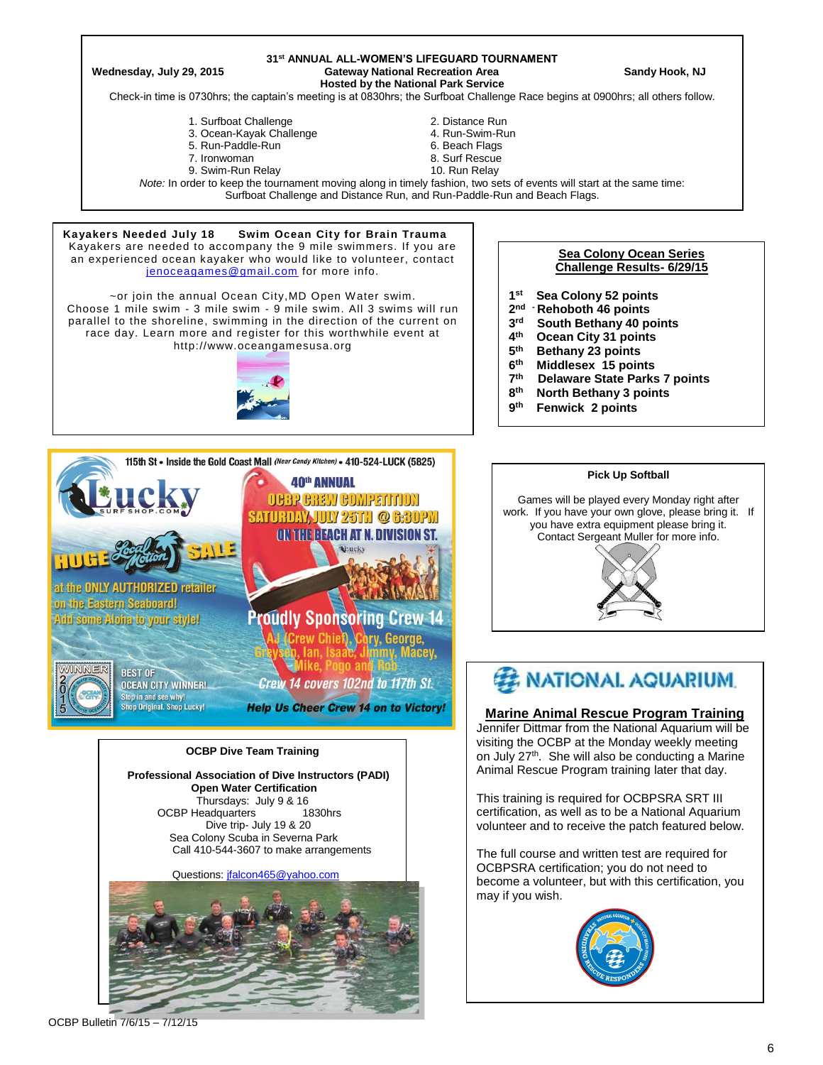#### **31 st ANNUAL ALL-WOMEN'S LIFEGUARD TOURNAMENT Wednesday, July 29, 2015 Gateway National Recreation Area Sandy Hook, NJ**

**Hosted by the National Park Service**

Check-in time is 0730hrs; the captain's meeting is at 0830hrs; the Surfboat Challenge Race begins at 0900hrs; all others follow.

- 1. Surfboat Challenge 2. Distance Run<br>1. Ocean-Kavak Challenge 2. 2. Distance Run 3. Ocean-Kavak Challenge
- 3. Ocean-Kayak Challenge 4. Run-Swim-Run
- 5. Run-Paddle-Run
- 
- 7. Ironwoman 1988 1988 1999 10. Surf Rescue<br>19. Swim-Run Relay 19. III 1999 10. Run Relay 9. Swim-Run Relay
- 
- -

*Note:* In order to keep the tournament moving along in timely fashion, two sets of events will start at the same time: Surfboat Challenge and Distance Run, and Run-Paddle-Run and Beach Flags.

#### **Kayakers Needed July 18 Swim Ocean City for Brain Trauma**  Kayakers are needed to accompany the 9 mile swimmers. If you are an experienced ocean kayaker who would like to volunteer, contact [jenoceagames@gmail.com](mailto:jenoceagames@gmail.com) for more info.

~or join the annual Ocean City,MD Open Water swim. Choose 1 mile swim - 3 mile swim - 9 mile swim. All 3 swims will run parallel to the shoreline, swimming in the direction of the current on race day. Learn more and register for this worthwhile event at http://www.oceangamesusa.org





Dive trip- July 19 & 20 Sea Colony Scuba in Severna Park Call 410-544-3607 to make arrangements

Questions[: jfalcon465@yahoo.com](mailto:jfalcon465@yahoo.com)



#### **Sea Colony Ocean Series Challenge Results- 6/29/15**

- **1 Sea Colony 52 points**
- **2 nd - Rehoboth 46 points**
- **3 rd South Bethany 40 points**
- **4 th Ocean City 31 points**
- **5 th Bethany 23 points**
- **6 th Middlesex 15 points**
- **7 th Delaware State Parks 7 points**
- **8 th North Bethany 3 points**
- **9 th Fenwick 2 points**





### **Marine Animal Rescue Program Training**

Jennifer Dittmar from the National Aquarium will be visiting the OCBP at the Monday weekly meeting on July 27<sup>th</sup>. She will also be conducting a Marine Animal Rescue Program training later that day.

This training is required for OCBPSRA SRT III certification, as well as to be a National Aquarium volunteer and to receive the patch featured below.

The full course and written test are required for OCBPSRA certification; you do not need to become a volunteer, but with this certification, you may if you wish.



OCBP Bulletin 7/6/15 – 7/12/15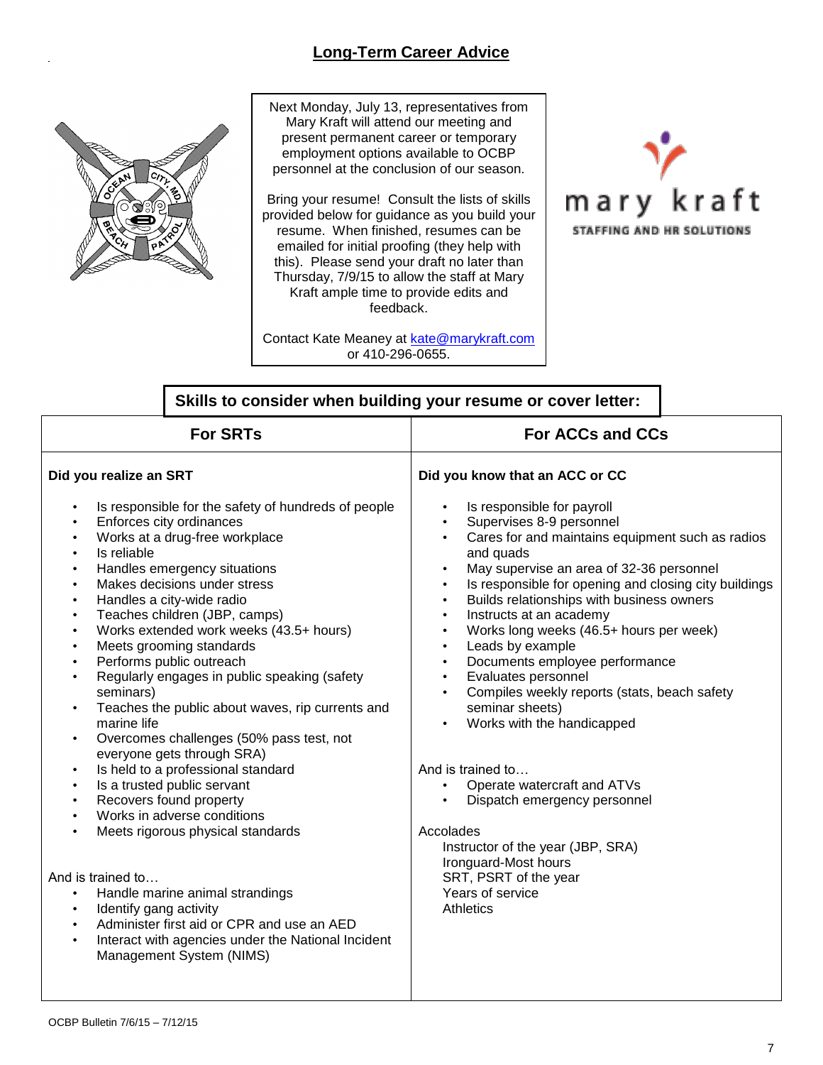# **Long-Term Career Advice**



Next Monday, July 13, representatives from Mary Kraft will attend our meeting and present permanent career or temporary employment options available to OCBP personnel at the conclusion of our season.

Bring your resume! Consult the lists of skills provided below for guidance as you build your resume. When finished, resumes can be emailed for initial proofing (they help with this). Please send your draft no later than Thursday, 7/9/15 to allow the staff at Mary Kraft ample time to provide edits and feedback.

Contact Kate Meaney at [kate@marykraft.com](mailto:kate@marykraft.com) or 410-296-0655.



|                                                                                                                                                                                                                                                                                                                                                                                                                                                                                                                                                                                                                                                                                                                                                                                                                                                                                                                                                                                                                                                                                                                                                                                                                                                                 | Skills to consider when building your resume or cover letter:                                                                                                                                                                                                                                                                                                                                                                                                                                                                                                                                                                                                                                                                                                                                                                                                                                  |  |  |
|-----------------------------------------------------------------------------------------------------------------------------------------------------------------------------------------------------------------------------------------------------------------------------------------------------------------------------------------------------------------------------------------------------------------------------------------------------------------------------------------------------------------------------------------------------------------------------------------------------------------------------------------------------------------------------------------------------------------------------------------------------------------------------------------------------------------------------------------------------------------------------------------------------------------------------------------------------------------------------------------------------------------------------------------------------------------------------------------------------------------------------------------------------------------------------------------------------------------------------------------------------------------|------------------------------------------------------------------------------------------------------------------------------------------------------------------------------------------------------------------------------------------------------------------------------------------------------------------------------------------------------------------------------------------------------------------------------------------------------------------------------------------------------------------------------------------------------------------------------------------------------------------------------------------------------------------------------------------------------------------------------------------------------------------------------------------------------------------------------------------------------------------------------------------------|--|--|
| <b>For SRTs</b>                                                                                                                                                                                                                                                                                                                                                                                                                                                                                                                                                                                                                                                                                                                                                                                                                                                                                                                                                                                                                                                                                                                                                                                                                                                 | <b>For ACCs and CCs</b>                                                                                                                                                                                                                                                                                                                                                                                                                                                                                                                                                                                                                                                                                                                                                                                                                                                                        |  |  |
| Did you realize an SRT                                                                                                                                                                                                                                                                                                                                                                                                                                                                                                                                                                                                                                                                                                                                                                                                                                                                                                                                                                                                                                                                                                                                                                                                                                          | Did you know that an ACC or CC                                                                                                                                                                                                                                                                                                                                                                                                                                                                                                                                                                                                                                                                                                                                                                                                                                                                 |  |  |
| Is responsible for the safety of hundreds of people<br>$\bullet$<br>Enforces city ordinances<br>$\bullet$<br>Works at a drug-free workplace<br>$\bullet$<br>Is reliable<br>$\bullet$<br>Handles emergency situations<br>$\bullet$<br>Makes decisions under stress<br>$\bullet$<br>Handles a city-wide radio<br>$\bullet$<br>Teaches children (JBP, camps)<br>$\bullet$<br>Works extended work weeks (43.5+ hours)<br>$\bullet$<br>Meets grooming standards<br>$\bullet$<br>Performs public outreach<br>$\bullet$<br>Regularly engages in public speaking (safety<br>$\bullet$<br>seminars)<br>Teaches the public about waves, rip currents and<br>$\bullet$<br>marine life<br>Overcomes challenges (50% pass test, not<br>$\bullet$<br>everyone gets through SRA)<br>Is held to a professional standard<br>Is a trusted public servant<br>$\bullet$<br>Recovers found property<br>$\bullet$<br>Works in adverse conditions<br>$\bullet$<br>Meets rigorous physical standards<br>$\bullet$<br>And is trained to<br>Handle marine animal strandings<br>$\bullet$<br>Identify gang activity<br>$\bullet$<br>Administer first aid or CPR and use an AED<br>$\bullet$<br>Interact with agencies under the National Incident<br>$\bullet$<br>Management System (NIMS) | Is responsible for payroll<br>$\bullet$<br>Supervises 8-9 personnel<br>Cares for and maintains equipment such as radios<br>$\bullet$<br>and quads<br>May supervise an area of 32-36 personnel<br>$\bullet$<br>Is responsible for opening and closing city buildings<br>Builds relationships with business owners<br>$\bullet$<br>Instructs at an academy<br>$\bullet$<br>Works long weeks (46.5+ hours per week)<br>$\bullet$<br>Leads by example<br>$\bullet$<br>Documents employee performance<br>$\bullet$<br>Evaluates personnel<br>$\bullet$<br>Compiles weekly reports (stats, beach safety<br>$\bullet$<br>seminar sheets)<br>Works with the handicapped<br>And is trained to<br>Operate watercraft and ATVs<br>Dispatch emergency personnel<br>Accolades<br>Instructor of the year (JBP, SRA)<br>Ironguard-Most hours<br>SRT, PSRT of the year<br>Years of service<br><b>Athletics</b> |  |  |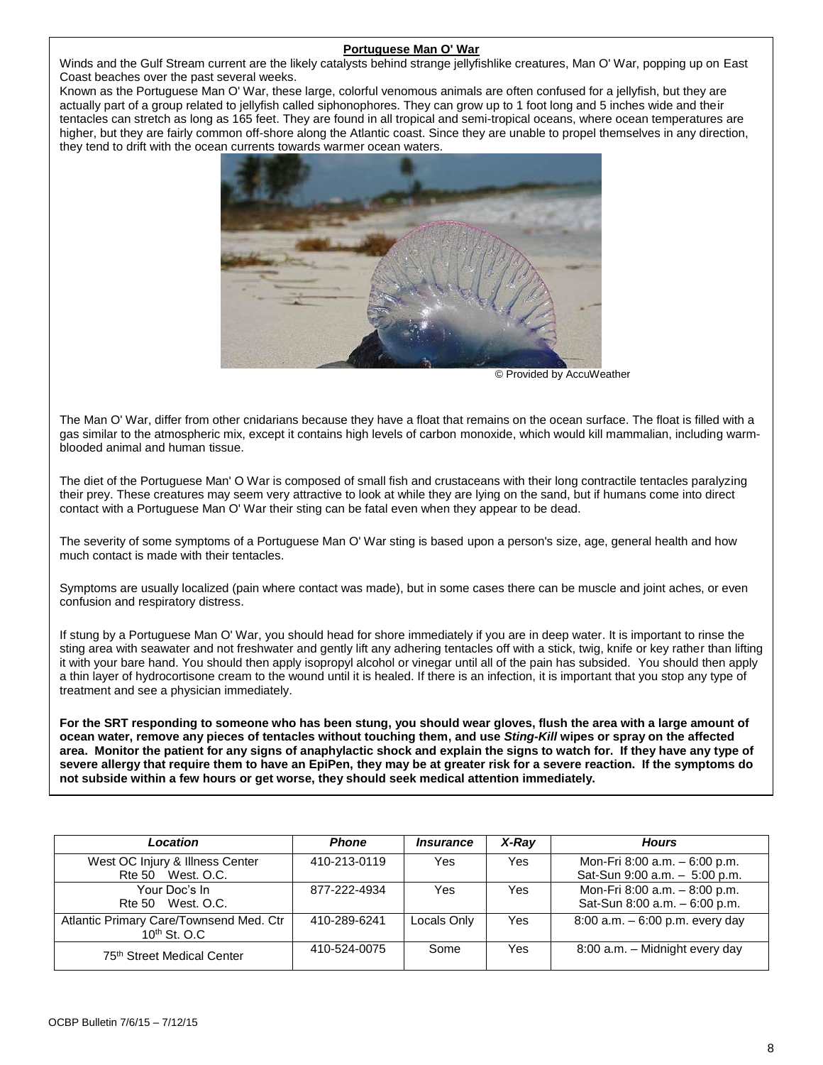#### **Portuguese Man O' War**

Winds and the Gulf Stream current are the likely catalysts behind strange jellyfishlike creatures, Man O' War, popping up on East Coast beaches over the past several weeks.

Known as the Portuguese Man O' War, these large, colorful venomous animals are often confused for a jellyfish, but they are actually part of a group related to jellyfish called siphonophores. They can grow up to 1 foot long and 5 inches wide and their tentacles can stretch as long as 165 feet. They are found in all tropical and semi-tropical oceans, where ocean temperatures are higher, but they are fairly common off-shore along the Atlantic coast. Since they are unable to propel themselves in any direction, they tend to drift with the ocean currents towards warmer ocean waters.



© Provided by AccuWeather

The Man O' War, differ from other cnidarians because they have a float that remains on the ocean surface. The float is filled with a gas similar to the atmospheric mix, except it contains high levels of carbon monoxide, which would kill mammalian, including warmblooded animal and human tissue.

The diet of the Portuguese Man' O War is composed of small fish and crustaceans with their long contractile tentacles paralyzing their prey. These creatures may seem very attractive to look at while they are lying on the sand, but if humans come into direct contact with a Portuguese Man O' War their sting can be fatal even when they appear to be dead.

The severity of some symptoms of a Portuguese Man O' War sting is based upon a person's size, age, general health and how much contact is made with their tentacles.

Symptoms are usually localized (pain where contact was made), but in some cases there can be muscle and joint aches, or even confusion and respiratory distress.

If stung by a Portuguese Man O' War, you should head for shore immediately if you are in deep water. It is important to rinse the sting area with seawater and not freshwater and gently lift any adhering tentacles off with a stick, twig, knife or key rather than lifting it with your bare hand. You should then apply isopropyl alcohol or vinegar until all of the pain has subsided. You should then apply a thin layer of hydrocortisone cream to the wound until it is healed. If there is an infection, it is important that you stop any type of treatment and see a physician immediately.

**For the SRT responding to someone who has been stung, you should wear gloves, flush the area with a large amount of ocean water, remove any pieces of tentacles without touching them, and use** *Sting-Kill* **wipes or spray on the affected area. Monitor the patient for any signs of anaphylactic shock and explain the signs to watch for. If they have any type of severe allergy that require them to have an EpiPen, they may be at greater risk for a severe reaction. If the symptoms do not subside within a few hours or get worse, they should seek medical attention immediately.**

| Location                                                      | <b>Phone</b> | <i><b>Insurance</b></i> | $X$ -Ray   | <b>Hours</b>                                                   |
|---------------------------------------------------------------|--------------|-------------------------|------------|----------------------------------------------------------------|
| West OC Injury & Illness Center<br>Rte 50 West, O.C.          | 410-213-0119 | Yes                     | <b>Yes</b> | Mon-Fri 8:00 a.m. - 6:00 p.m.<br>Sat-Sun 9:00 a.m. - 5:00 p.m. |
| Your Doc's In                                                 | 877-222-4934 | Yes                     | Yes        | Mon-Fri 8:00 a.m. - 8:00 p.m.                                  |
| Rte 50 West, O.C.                                             |              |                         |            | Sat-Sun 8:00 a.m. - 6:00 p.m.                                  |
| Atlantic Primary Care/Townsend Med. Ctr<br>$10^{th}$ St. O.C. | 410-289-6241 | Locals Only             | Yes        | 8:00 a.m. - 6:00 p.m. every day                                |
| 75 <sup>th</sup> Street Medical Center                        | 410-524-0075 | Some                    | Yes        | 8:00 a.m. - Midnight every day                                 |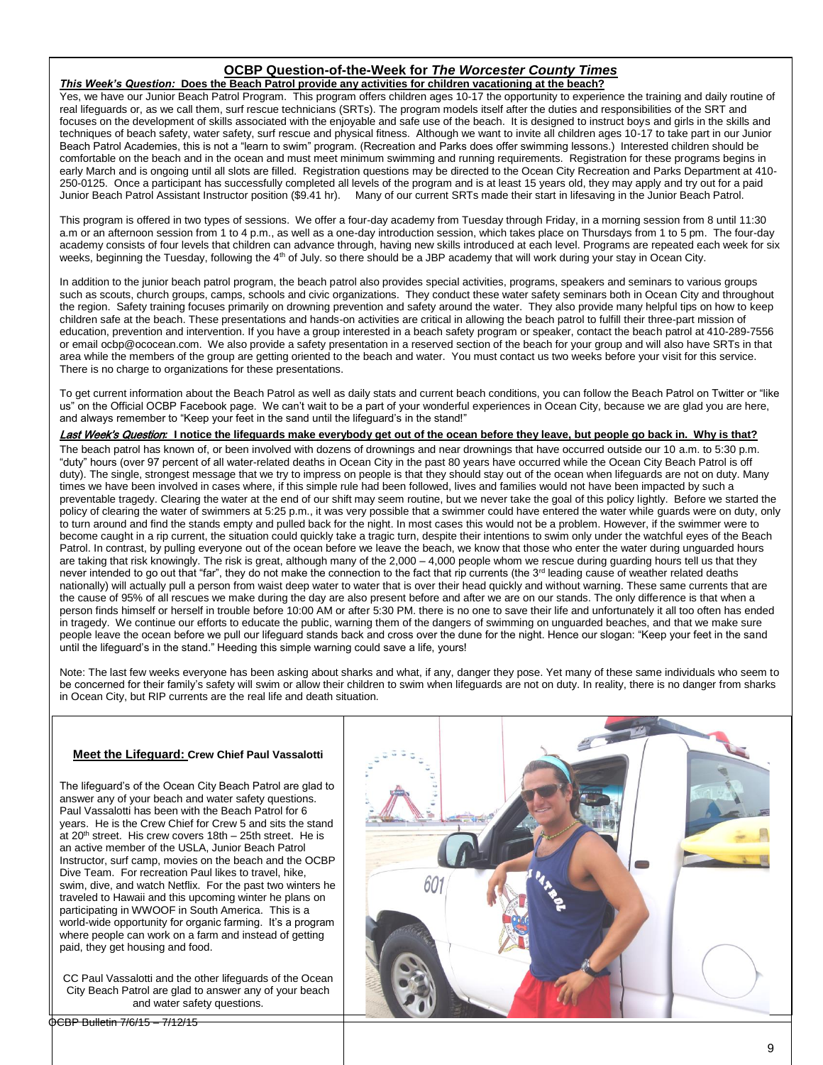#### **OCBP Question-of-the-Week for** *The Worcester County Times This Week's Question:* **Does the Beach Patrol provide any activities for children vacationing at the beach?**

Yes, we have our Junior Beach Patrol Program. This program offers children ages 10-17 the opportunity to experience the training and daily routine of real lifeguards or, as we call them, surf rescue technicians (SRTs). The program models itself after the duties and responsibilities of the SRT and focuses on the development of skills associated with the enjoyable and safe use of the beach. It is designed to instruct boys and girls in the skills and techniques of beach safety, water safety, surf rescue and physical fitness. Although we want to invite all children ages 10-17 to take part in our Junior Beach Patrol Academies, this is not a "learn to swim" program. (Recreation and Parks does offer swimming lessons.) Interested children should be comfortable on the beach and in the ocean and must meet minimum swimming and running requirements. Registration for these programs begins in early March and is ongoing until all slots are filled. Registration questions may be directed to the Ocean City Recreation and Parks Department at 410- 250-0125. Once a participant has successfully completed all levels of the program and is at least 15 years old, they may apply and try out for a paid Junior Beach Patrol Assistant Instructor position (\$9.41 hr). Many of our current SRTs made their start in lifesaving in the Junior Beach Patrol.

This program is offered in two types of sessions. We offer a four-day academy from Tuesday through Friday, in a morning session from 8 until 11:30 a.m or an afternoon session from 1 to 4 p.m., as well as a one-day introduction session, which takes place on Thursdays from 1 to 5 pm. The four-day academy consists of four levels that children can advance through, having new skills introduced at each level. Programs are repeated each week for six weeks, beginning the Tuesday, following the 4<sup>th</sup> of July. so there should be a JBP academy that will work during your stay in Ocean City.

In addition to the junior beach patrol program, the beach patrol also provides special activities, programs, speakers and seminars to various groups such as scouts, church groups, camps, schools and civic organizations. They conduct these water safety seminars both in Ocean City and throughout the region. Safety training focuses primarily on drowning prevention and safety around the water. They also provide many helpful tips on how to keep children safe at the beach. These presentations and hands-on activities are critical in allowing the beach patrol to fulfill their three-part mission of education, prevention and intervention. If you have a group interested in a beach safety program or speaker, contact the beach patrol at 410-289-7556 or email ocbp@ococean.com. We also provide a safety presentation in a reserved section of the beach for your group and will also have SRTs in that area while the members of the group are getting oriented to the beach and water. You must contact us two weeks before your visit for this service. There is no charge to organizations for these presentations.

To get current information about the Beach Patrol as well as daily stats and current beach conditions, you can follow the Beach Patrol on Twitter or "like us" on the Official OCBP Facebook page. We can't wait to be a part of your wonderful experiences in Ocean City, because we are glad you are here, and always remember to "Keep your feet in the sand until the lifeguard's in the stand!"

Last Week's Question*:* **I notice the lifeguards make everybody get out of the ocean before they leave, but people go back in. Why is that?** 

The beach patrol has known of, or been involved with dozens of drownings and near drownings that have occurred outside our 10 a.m. to 5:30 p.m. "duty" hours (over 97 percent of all water-related deaths in Ocean City in the past 80 years have occurred while the Ocean City Beach Patrol is off duty). The single, strongest message that we try to impress on people is that they should stay out of the ocean when lifeguards are not on duty. Many times we have been involved in cases where, if this simple rule had been followed, lives and families would not have been impacted by such a preventable tragedy. Clearing the water at the end of our shift may seem routine, but we never take the goal of this policy lightly. Before we started the policy of clearing the water of swimmers at 5:25 p.m., it was very possible that a swimmer could have entered the water while guards were on duty, only to turn around and find the stands empty and pulled back for the night. In most cases this would not be a problem. However, if the swimmer were to become caught in a rip current, the situation could quickly take a tragic turn, despite their intentions to swim only under the watchful eyes of the Beach Patrol. In contrast, by pulling everyone out of the ocean before we leave the beach, we know that those who enter the water during unguarded hours are taking that risk knowingly. The risk is great, although many of the 2,000 – 4,000 people whom we rescue during guarding hours tell us that they never intended to go out that "far", they do not make the connection to the fact that rip currents (the 3<sup>rd</sup> leading cause of weather related deaths nationally) will actually pull a person from waist deep water to water that is over their head quickly and without warning. These same currents that are the cause of 95% of all rescues we make during the day are also present before and after we are on our stands. The only difference is that when a person finds himself or herself in trouble before 10:00 AM or after 5:30 PM. there is no one to save their life and unfortunately it all too often has ended in tragedy. We continue our efforts to educate the public, warning them of the dangers of swimming on unguarded beaches, and that we make sure people leave the ocean before we pull our lifeguard stands back and cross over the dune for the night. Hence our slogan: "Keep your feet in the sand until the lifeguard's in the stand." Heeding this simple warning could save a life, yours!

Note: The last few weeks everyone has been asking about sharks and what, if any, danger they pose. Yet many of these same individuals who seem to be concerned for their family's safety will swim or allow their children to swim when lifeguards are not on duty. In reality, there is no danger from sharks in Ocean City, but RIP currents are the real life and death situation.

#### **Meet the Lifeguard: Crew Chief Paul Vassalotti**

The lifeguard's of the Ocean City Beach Patrol are glad to answer any of your beach and water safety questions. Paul Vassalotti has been with the Beach Patrol for 6 years. He is the Crew Chief for Crew 5 and sits the stand at 20<sup>th</sup> street. His crew covers  $18th - 25th$  street. He is an active member of the USLA, Junior Beach Patrol Instructor, surf camp, movies on the beach and the OCBP Dive Team. For recreation Paul likes to travel, hike, swim, dive, and watch Netflix. For the past two winters he traveled to Hawaii and this upcoming winter he plans on participating in WWOOF in South America. This is a world-wide opportunity for organic farming. It's a program where people can work on a farm and instead of getting paid, they get housing and food.

CC Paul Vassalotti and the other lifeguards of the Ocean City Beach Patrol are glad to answer any of your beach and water safety questions.